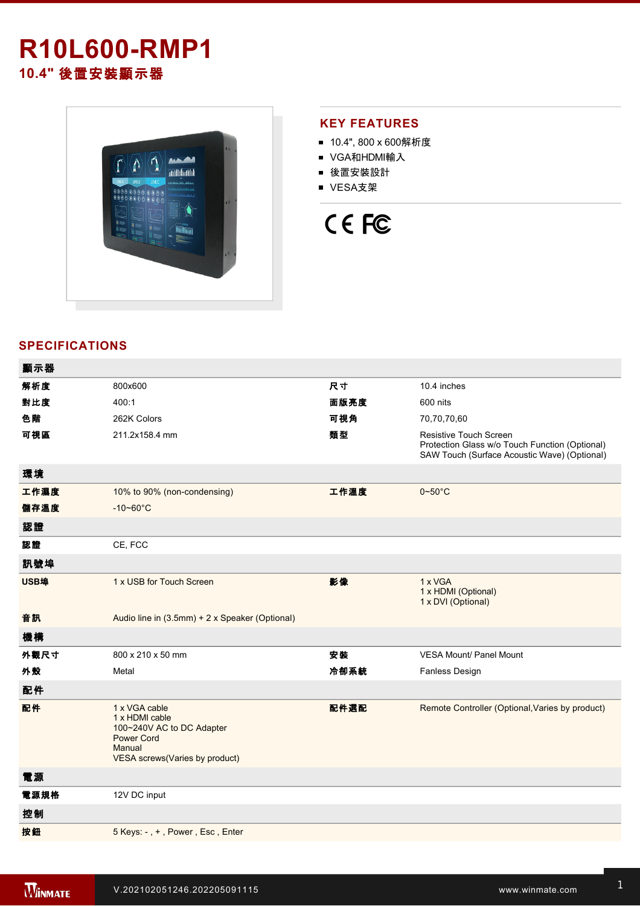## **R10L600-RMP1 10.4"** 後置安裝顯示器



## **KEY FEATURES**

- 10.4", 800 x 600解析度
- VGA和HDMI輸入
- 後置安裝設計
- VESA支架



## **SPECIFICATIONS**

| 顯示器  |                                                                                                                               |      |                                                                                                                                 |
|------|-------------------------------------------------------------------------------------------------------------------------------|------|---------------------------------------------------------------------------------------------------------------------------------|
| 解析度  | 800x600                                                                                                                       | 尺寸   | 10.4 inches                                                                                                                     |
| 對比度  | 400:1                                                                                                                         | 面版亮度 | 600 nits                                                                                                                        |
| 色階   | 262K Colors                                                                                                                   | 可視角  | 70,70,70,60                                                                                                                     |
| 可視區  | 211.2x158.4 mm                                                                                                                | 類型   | <b>Resistive Touch Screen</b><br>Protection Glass w/o Touch Function (Optional)<br>SAW Touch (Surface Acoustic Wave) (Optional) |
| 環境   |                                                                                                                               |      |                                                                                                                                 |
| 工作濕度 | 10% to 90% (non-condensing)                                                                                                   | 工作溫度 | $0\nightharpoonup 50^\circ C$                                                                                                   |
| 儲存溫度 | $-10 - 60^{\circ}C$                                                                                                           |      |                                                                                                                                 |
| 認證   |                                                                                                                               |      |                                                                                                                                 |
| 認證   | CE, FCC                                                                                                                       |      |                                                                                                                                 |
| 訊號埠  |                                                                                                                               |      |                                                                                                                                 |
| USB埠 | 1 x USB for Touch Screen                                                                                                      | 影像   | 1 x VGA<br>1 x HDMI (Optional)<br>1 x DVI (Optional)                                                                            |
| 音訊   | Audio line in (3.5mm) + 2 x Speaker (Optional)                                                                                |      |                                                                                                                                 |
| 機構   |                                                                                                                               |      |                                                                                                                                 |
| 外觀尺寸 | 800 x 210 x 50 mm                                                                                                             | 安裝   | <b>VESA Mount/ Panel Mount</b>                                                                                                  |
| 外殼   | Metal                                                                                                                         | 冷卻系統 | Fanless Design                                                                                                                  |
| 配件   |                                                                                                                               |      |                                                                                                                                 |
| 配件   | 1 x VGA cable<br>1 x HDMI cable<br>100~240V AC to DC Adapter<br><b>Power Cord</b><br>Manual<br>VESA screws(Varies by product) | 配件選配 | Remote Controller (Optional, Varies by product)                                                                                 |
| 電源   |                                                                                                                               |      |                                                                                                                                 |
| 電源規格 | 12V DC input                                                                                                                  |      |                                                                                                                                 |
| 控制   |                                                                                                                               |      |                                                                                                                                 |
| 按鈕   | 5 Keys: -, +, Power, Esc, Enter                                                                                               |      |                                                                                                                                 |
|      |                                                                                                                               |      |                                                                                                                                 |

**DIMENSIONS**  UNIT:MM